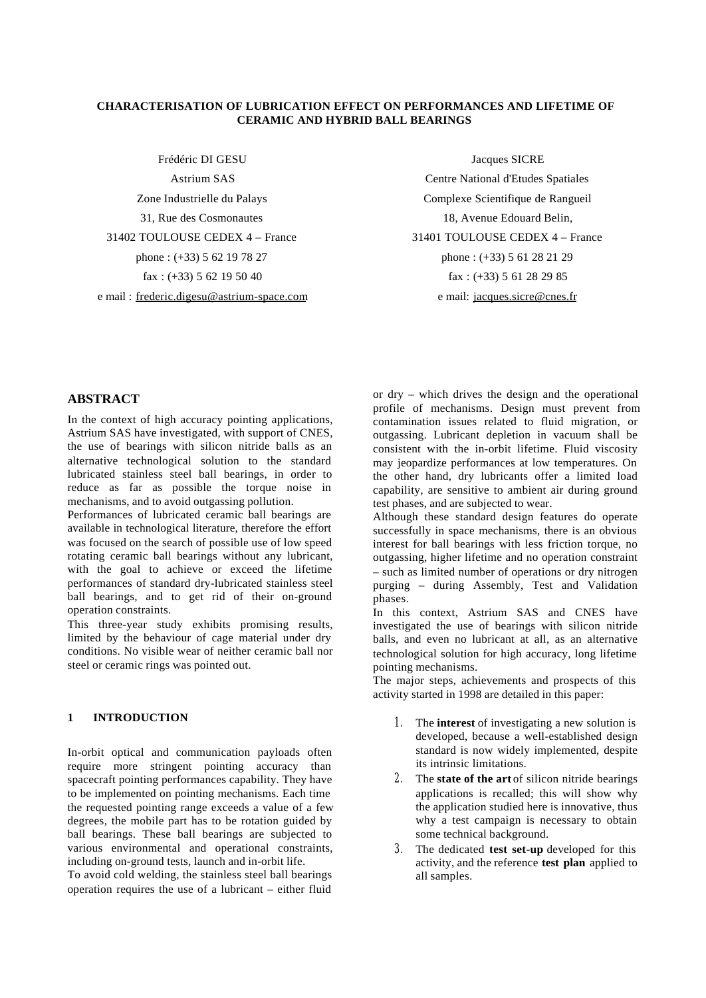### **CHARACTERISATION OF LUBRICATION EFFECT ON PERFORMANCES AND LIFETIME OF CERAMIC AND HYBRID BALL BEARINGS**

Frédéric DI GESU Astrium SAS Zone Industrielle du Palays 31, Rue des Cosmonautes 31402 TOULOUSE CEDEX 4 – France phone : (+33) 5 62 19 78 27 fax:  $(+33)$  5 62 19 50 40 e mail : frederic.digesu@astrium-space.com

Jacques SICRE Centre National d'Etudes Spatiales Complexe Scientifique de Rangueil 18, Avenue Edouard Belin, 31401 TOULOUSE CEDEX 4 – France phone : (+33) 5 61 28 21 29 fax : (+33) 5 61 28 29 85 e mail: jacques.sicre@cnes.fr

## **ABSTRACT**

In the context of high accuracy pointing applications, Astrium SAS have investigated, with support of CNES, the use of bearings with silicon nitride balls as an alternative technological solution to the standard lubricated stainless steel ball bearings, in order to reduce as far as possible the torque noise in mechanisms, and to avoid outgassing pollution.

Performances of lubricated ceramic ball bearings are available in technological literature, therefore the effort was focused on the search of possible use of low speed rotating ceramic ball bearings without any lubricant, with the goal to achieve or exceed the lifetime performances of standard dry-lubricated stainless steel ball bearings, and to get rid of their on-ground operation constraints.

This three-year study exhibits promising results, limited by the behaviour of cage material under dry conditions. No visible wear of neither ceramic ball nor steel or ceramic rings was pointed out.

### **1 INTRODUCTION**

In-orbit optical and communication payloads often require more stringent pointing accuracy than spacecraft pointing performances capability. They have to be implemented on pointing mechanisms. Each time the requested pointing range exceeds a value of a few degrees, the mobile part has to be rotation guided by ball bearings. These ball bearings are subjected to various environmental and operational constraints, including on-ground tests, launch and in-orbit life.

To avoid cold welding, the stainless steel ball bearings operation requires the use of a lubricant – either fluid or dry – which drives the design and the operational profile of mechanisms. Design must prevent from contamination issues related to fluid migration, or outgassing. Lubricant depletion in vacuum shall be consistent with the in-orbit lifetime. Fluid viscosity may jeopardize performances at low temperatures. On the other hand, dry lubricants offer a limited load capability, are sensitive to ambient air during ground test phases, and are subjected to wear.

Although these standard design features do operate successfully in space mechanisms, there is an obvious interest for ball bearings with less friction torque, no outgassing, higher lifetime and no operation constraint – such as limited number of operations or dry nitrogen purging – during Assembly, Test and Validation phases.

In this context, Astrium SAS and CNES have investigated the use of bearings with silicon nitride balls, and even no lubricant at all, as an alternative technological solution for high accuracy, long lifetime pointing mechanisms.

The major steps, achievements and prospects of this activity started in 1998 are detailed in this paper:

- 1 . The **interest** of investigating a new solution is developed, because a well-established design standard is now widely implemented, despite its intrinsic limitations.
- 2 . The **state of the art** of silicon nitride bearings applications is recalled; this will show why the application studied here is innovative, thus why a test campaign is necessary to obtain some technical background.
- 3 . The dedicated **test set-up** developed for this activity, and the reference **test plan** applied to all samples.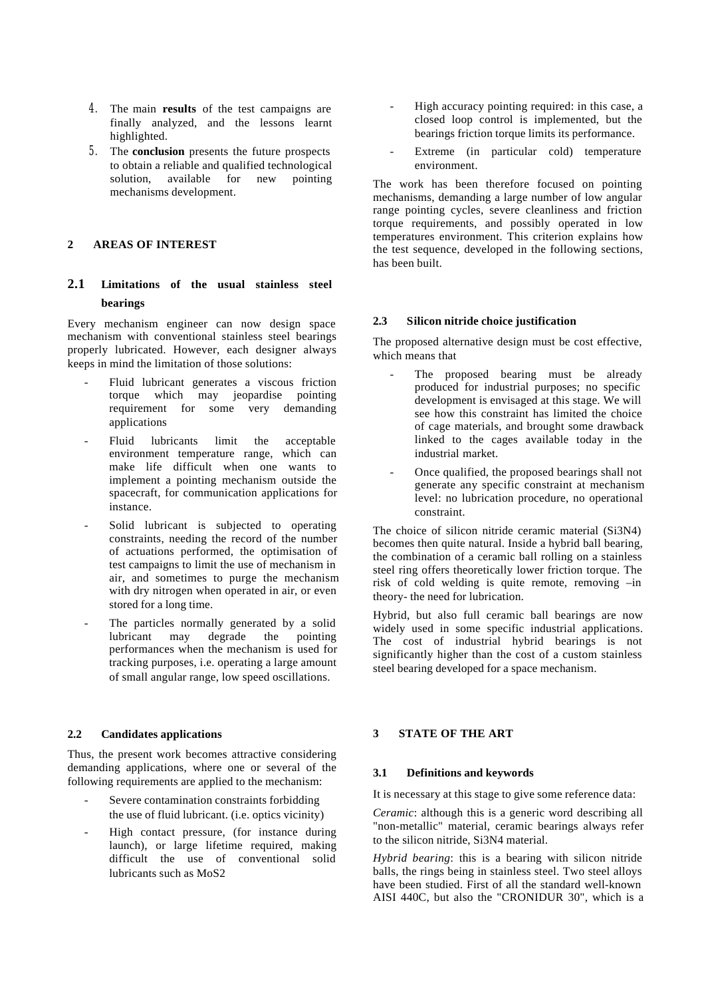- 4 . The main **results** of the test campaigns are finally analyzed, and the lessons learnt highlighted.
- 5 . The **conclusion** presents the future prospects to obtain a reliable and qualified technological solution, available for new pointing mechanisms development.

### **2 AREAS OF INTEREST**

# **2.1 Limitations of the usual stainless steel bearings**

Every mechanism engineer can now design space mechanism with conventional stainless steel bearings properly lubricated. However, each designer always keeps in mind the limitation of those solutions:

- Fluid lubricant generates a viscous friction torque which may jeopardise pointing requirement for some very demanding applications
- Fluid lubricants limit the acceptable environment temperature range, which can make life difficult when one wants to implement a pointing mechanism outside the spacecraft, for communication applications for instance.
- Solid lubricant is subjected to operating constraints, needing the record of the number of actuations performed, the optimisation of test campaigns to limit the use of mechanism in air, and sometimes to purge the mechanism with dry nitrogen when operated in air, or even stored for a long time.
- The particles normally generated by a solid<br>lubricant may degrade the pointing lubricant may degrade performances when the mechanism is used for tracking purposes, i.e. operating a large amount of small angular range, low speed oscillations.

#### **2.2 Candidates applications**

Thus, the present work becomes attractive considering demanding applications, where one or several of the following requirements are applied to the mechanism:

- Severe contamination constraints forbidding the use of fluid lubricant. (i.e. optics vicinity)
- High contact pressure, (for instance during launch), or large lifetime required, making difficult the use of conventional solid lubricants such as MoS2
- High accuracy pointing required: in this case, a closed loop control is implemented, but the bearings friction torque limits its performance.
- Extreme (in particular cold) temperature environment.

The work has been therefore focused on pointing mechanisms, demanding a large number of low angular range pointing cycles, severe cleanliness and friction torque requirements, and possibly operated in low temperatures environment. This criterion explains how the test sequence, developed in the following sections, has been built.

## **2.3 Silicon nitride choice justification**

The proposed alternative design must be cost effective, which means that

- The proposed bearing must be already produced for industrial purposes; no specific development is envisaged at this stage. We will see how this constraint has limited the choice of cage materials, and brought some drawback linked to the cages available today in the industrial market.
- Once qualified, the proposed bearings shall not generate any specific constraint at mechanism level: no lubrication procedure, no operational constraint.

The choice of silicon nitride ceramic material (Si3N4) becomes then quite natural. Inside a hybrid ball bearing, the combination of a ceramic ball rolling on a stainless steel ring offers theoretically lower friction torque. The risk of cold welding is quite remote, removing –in theory- the need for lubrication.

Hybrid, but also full ceramic ball bearings are now widely used in some specific industrial applications. The cost of industrial hybrid bearings is not significantly higher than the cost of a custom stainless steel bearing developed for a space mechanism.

## **3 STATE OF THE ART**

#### **3.1 Definitions and keywords**

It is necessary at this stage to give some reference data:

*Ceramic*: although this is a generic word describing all "non-metallic" material, ceramic bearings always refer to the silicon nitride, Si3N4 material.

*Hybrid bearing*: this is a bearing with silicon nitride balls, the rings being in stainless steel. Two steel alloys have been studied. First of all the standard well-known AISI 440C, but also the "CRONIDUR 30", which is a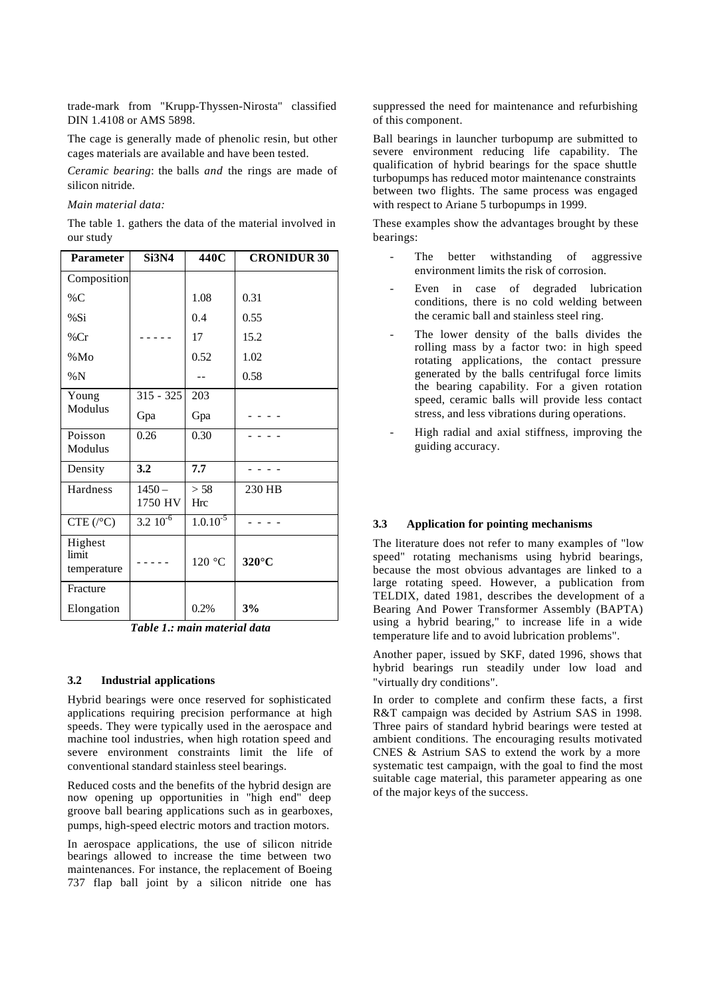trade-mark from "Krupp-Thyssen-Nirosta" classified DIN 1.4108 or AMS 5898.

The cage is generally made of phenolic resin, but other cages materials are available and have been tested.

*Ceramic bearing*: the balls *and* the rings are made of silicon nitride.

*Main material data:*

The table 1. gathers the data of the material involved in our study

| <b>Parameter</b>     | <b>Si3N4</b>             | 440C          | <b>CRONIDUR 30</b> |  |  |
|----------------------|--------------------------|---------------|--------------------|--|--|
| Composition          |                          |               |                    |  |  |
| $\%$ C               |                          | 1.08          | 0.31               |  |  |
| %Si                  |                          | 0.4           | 0.55               |  |  |
| %Cr                  |                          | 17            | 15.2               |  |  |
| %Mo                  |                          | 0.52          | 1.02               |  |  |
| $\% N$               |                          |               | 0.58               |  |  |
| Young                | $315 - 325$              | 203           |                    |  |  |
| Modulus              | Gpa                      | Gpa           |                    |  |  |
| Poisson              | 0.26                     | 0.30          |                    |  |  |
| Modulus              |                          |               |                    |  |  |
| Density              | 3.2                      | 7.7           |                    |  |  |
| Hardness             | $1450 -$                 | > 58          | 230 HB             |  |  |
|                      | 1750 HV                  | Hrc           |                    |  |  |
| $CTE$ ( $\degree$ C) | $3.2 \overline{10^{-6}}$ | $1.0.10^{-5}$ |                    |  |  |
| Highest              |                          |               |                    |  |  |
| limit<br>temperature |                          | 120 °C        | $320^{\circ}$ C    |  |  |
| Fracture             |                          |               |                    |  |  |
| Elongation           |                          | 0.2%          | 3%                 |  |  |

 *Table 1.: main material data*

#### **3.2 Industrial applications**

Hybrid bearings were once reserved for sophisticated applications requiring precision performance at high speeds. They were typically used in the aerospace and machine tool industries, when high rotation speed and severe environment constraints limit the life of conventional standard stainless steel bearings.

Reduced costs and the benefits of the hybrid design are now opening up opportunities in "high end" deep groove ball bearing applications such as in gearboxes, pumps, high-speed electric motors and traction motors.

In aerospace applications, the use of silicon nitride bearings allowed to increase the time between two maintenances. For instance, the replacement of Boeing 737 flap ball joint by a silicon nitride one has suppressed the need for maintenance and refurbishing of this component.

Ball bearings in launcher turbopump are submitted to severe environment reducing life capability. The qualification of hybrid bearings for the space shuttle turbopumps has reduced motor maintenance constraints between two flights. The same process was engaged with respect to Ariane 5 turbopumps in 1999.

These examples show the advantages brought by these bearings:

- The better withstanding of aggressive environment limits the risk of corrosion.
- Even in case of degraded lubrication conditions, there is no cold welding between the ceramic ball and stainless steel ring.
- The lower density of the balls divides the rolling mass by a factor two: in high speed rotating applications, the contact pressure generated by the balls centrifugal force limits the bearing capability. For a given rotation speed, ceramic balls will provide less contact stress, and less vibrations during operations.
- High radial and axial stiffness, improving the guiding accuracy.

### **3.3 Application for pointing mechanisms**

The literature does not refer to many examples of "low speed" rotating mechanisms using hybrid bearings, because the most obvious advantages are linked to a large rotating speed. However, a publication from TELDIX, dated 1981, describes the development of a Bearing And Power Transformer Assembly (BAPTA) using a hybrid bearing," to increase life in a wide temperature life and to avoid lubrication problems".

Another paper, issued by SKF, dated 1996, shows that hybrid bearings run steadily under low load and "virtually dry conditions".

In order to complete and confirm these facts, a first R&T campaign was decided by Astrium SAS in 1998. Three pairs of standard hybrid bearings were tested at ambient conditions. The encouraging results motivated CNES & Astrium SAS to extend the work by a more systematic test campaign, with the goal to find the most suitable cage material, this parameter appearing as one of the major keys of the success.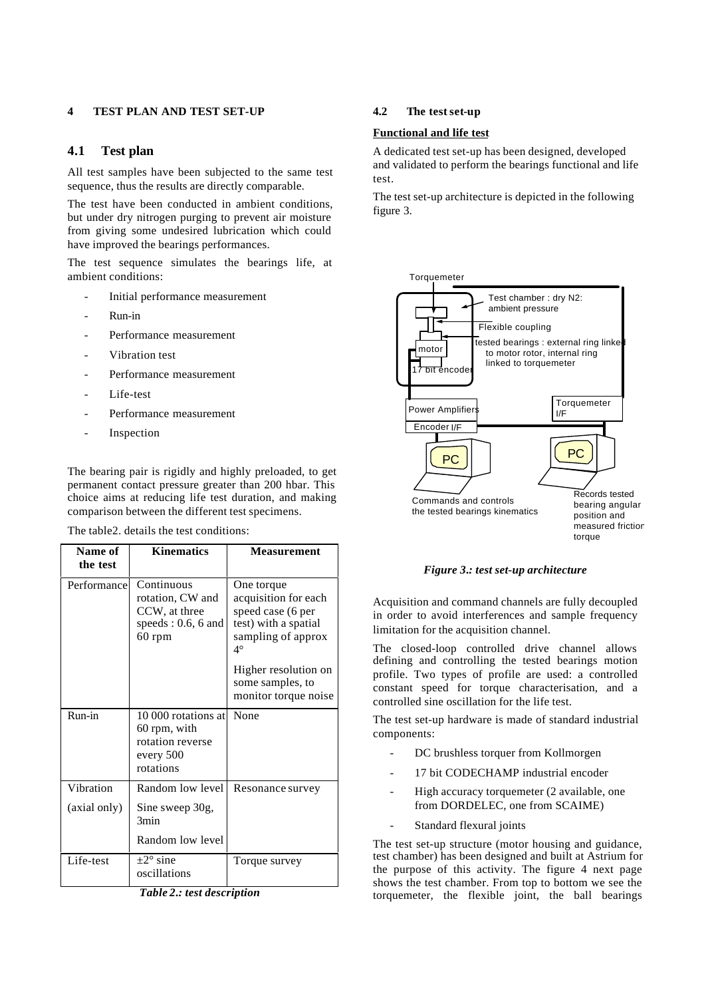## **4 TEST PLAN AND TEST SET-UP**

## **4.1 Test plan**

All test samples have been subjected to the same test sequence, thus the results are directly comparable.

The test have been conducted in ambient conditions, but under dry nitrogen purging to prevent air moisture from giving some undesired lubrication which could have improved the bearings performances.

The test sequence simulates the bearings life, at ambient conditions:

- Initial performance measurement
- Run-in
- Performance measurement
- Vibration test
- Performance measurement
- Life-test
- Performance measurement
- Inspection

The bearing pair is rigidly and highly preloaded, to get permanent contact pressure greater than 200 hbar. This choice aims at reducing life test duration, and making comparison between the different test specimens.

#### The table2. details the test conditions:

| Name of<br>the test | <b>Kinematics</b>                                                                    | <b>Measurement</b>                                                                                                                                                                     |
|---------------------|--------------------------------------------------------------------------------------|----------------------------------------------------------------------------------------------------------------------------------------------------------------------------------------|
| Performance         | Continuous<br>rotation, CW and<br>CCW, at three<br>speeds: $0.6$ , 6 and<br>$60$ rpm | One torque<br>acquisition for each<br>speed case (6 per<br>test) with a spatial<br>sampling of approx<br>$4^\circ$<br>Higher resolution on<br>some samples, to<br>monitor torque noise |
| Run-in              | 10 000 rotations at<br>60 rpm, with<br>rotation reverse<br>every 500<br>rotations    | None                                                                                                                                                                                   |
| Vibration           | Random low level                                                                     | Resonance survey                                                                                                                                                                       |
| (axial only)        | Sine sweep 30g,<br>3min<br>Random low level                                          |                                                                                                                                                                                        |
| Life-test           | $+2^{\circ}$ sine<br>oscillations                                                    | Torque survey                                                                                                                                                                          |

*Table 2.: test description*

## **4.2 The testset-up**

#### **Functional and life test**

A dedicated test set-up has been designed, developed and validated to perform the bearings functional and life test.

The test set-up architecture is depicted in the following figure 3.



*Figure 3.: test set-up architecture*

Acquisition and command channels are fully decoupled in order to avoid interferences and sample frequency limitation for the acquisition channel.

The closed-loop controlled drive channel allows defining and controlling the tested bearings motion profile. Two types of profile are used: a controlled constant speed for torque characterisation, and a controlled sine oscillation for the life test.

The test set-up hardware is made of standard industrial components:

- DC brushless torquer from Kollmorgen
- 17 bit CODECHAMP industrial encoder
- High accuracy torquemeter (2 available, one from DORDELEC, one from SCAIME)
- Standard flexural joints

The test set-up structure (motor housing and guidance, test chamber) has been designed and built at Astrium for the purpose of this activity. The figure 4 next page shows the test chamber. From top to bottom we see the torquemeter, the flexible joint, the ball bearings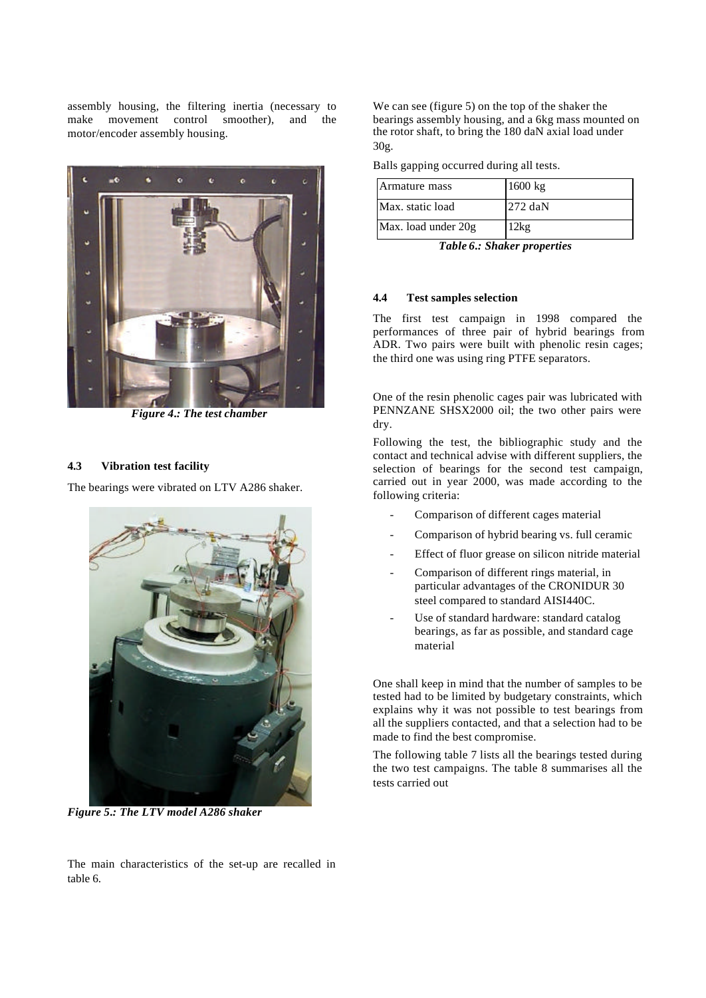assembly housing, the filtering inertia (necessary to make movement control smoother), and the motor/encoder assembly housing.



*Figure 4.: The test chamber*

### **4.3 Vibration test facility**

The bearings were vibrated on LTV A286 shaker.



*Figure 5.: The LTV model A286 shaker*

We can see (figure 5) on the top of the shaker the bearings assembly housing, and a 6kg mass mounted on the rotor shaft, to bring the 180 daN axial load under 30g.

|  |  | Balls gapping occurred during all tests. |  |  |  |
|--|--|------------------------------------------|--|--|--|
|--|--|------------------------------------------|--|--|--|

| Armature mass       | $1600 \text{ kg}$ |
|---------------------|-------------------|
| Max. static load    | $272$ daN         |
| Max. load under 20g | 2kg               |

*Table 6.: Shaker properties*

## **4.4 Test samples selection**

The first test campaign in 1998 compared the performances of three pair of hybrid bearings from ADR. Two pairs were built with phenolic resin cages; the third one was using ring PTFE separators.

One of the resin phenolic cages pair was lubricated with PENNZANE SHSX2000 oil; the two other pairs were dry.

Following the test, the bibliographic study and the contact and technical advise with different suppliers, the selection of bearings for the second test campaign, carried out in year 2000, was made according to the following criteria:

- Comparison of different cages material
- Comparison of hybrid bearing vs. full ceramic
- Effect of fluor grease on silicon nitride material
- Comparison of different rings material, in particular advantages of the CRONIDUR 30 steel compared to standard AISI440C.
- Use of standard hardware: standard catalog bearings, as far as possible, and standard cage material

One shall keep in mind that the number of samples to be tested had to be limited by budgetary constraints, which explains why it was not possible to test bearings from all the suppliers contacted, and that a selection had to be made to find the best compromise.

The following table 7 lists all the bearings tested during the two test campaigns. The table 8 summarises all the tests carried out

The main characteristics of the set-up are recalled in table 6.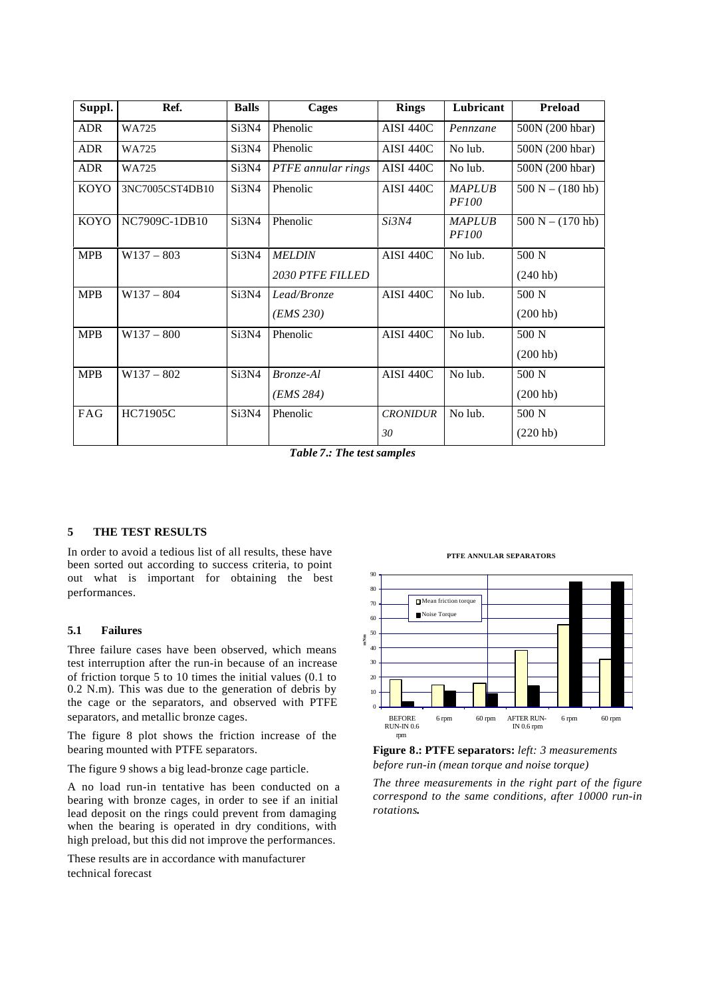| Suppl.      | Ref.            | <b>Balls</b> | Cages                   | <b>Rings</b>     | Lubricant                     | <b>Preload</b>      |
|-------------|-----------------|--------------|-------------------------|------------------|-------------------------------|---------------------|
| <b>ADR</b>  | WA725           | Si3N4        | Phenolic                | <b>AISI 440C</b> | Pennzane                      | 500N (200 hbar)     |
| <b>ADR</b>  | WA725           | Si3N4        | Phenolic                | <b>AISI 440C</b> | No lub.                       | 500N (200 hbar)     |
| <b>ADR</b>  | WA725           | Si3N4        | PTFE annular rings      | <b>AISI 440C</b> | No lub.                       | 500N (200 hbar)     |
| <b>KOYO</b> | 3NC7005CST4DB10 | Si3N4        | Phenolic                | <b>AISI 440C</b> | <b>MAPLUB</b><br><i>PF100</i> | $500 N - (180 h b)$ |
| KOYO        | NC7909C-1DB10   | Si3N4        | Phenolic                | Si3N4            | <b>MAPLUB</b><br><i>PF100</i> | $500 N - (170 h b)$ |
| <b>MPB</b>  | $W137 - 803$    | Si3N4        | <b>MELDIN</b>           | <b>AISI 440C</b> | No lub.                       | 500 N               |
|             |                 |              | <b>2030 PTFE FILLED</b> |                  |                               | (240 h b)           |
| <b>MPB</b>  | $W137 - 804$    | Si3N4        | Lead/Bronze             | <b>AISI 440C</b> | No lub.                       | 500 N               |
|             |                 |              | ( <i>EMS</i> 230)       |                  |                               | (200 h b)           |
| <b>MPB</b>  | $W137 - 800$    | Si3N4        | Phenolic                | <b>AISI 440C</b> | No lub.                       | 500 N               |
|             |                 |              |                         |                  |                               | (200 h b)           |
| <b>MPB</b>  | $W137 - 802$    | Si3N4        | Bronze-Al               | <b>AISI 440C</b> | No lub.                       | 500 N               |
|             |                 |              | (EMS 284)               |                  |                               | (200 h b)           |
| FAG         | HC71905C        | Si3N4        | Phenolic                | <b>CRONIDUR</b>  | No lub.                       | 500 N               |
|             |                 |              |                         | 30               |                               | (220 h b)           |

*Table 7.: The test samples*

### **5 THE TEST RESULTS**

In order to avoid a tedious list of all results, these have been sorted out according to success criteria, to point out what is important for obtaining the best performances.

### **5.1 Failures**

Three failure cases have been observed, which means test interruption after the run-in because of an increase of friction torque 5 to 10 times the initial values (0.1 to 0.2 N.m). This was due to the generation of debris by the cage or the separators, and observed with PTFE separators, and metallic bronze cages.

The figure 8 plot shows the friction increase of the bearing mounted with PTFE separators.

The figure 9 shows a big lead-bronze cage particle.

A no load run-in tentative has been conducted on a bearing with bronze cages, in order to see if an initial lead deposit on the rings could prevent from damaging when the bearing is operated in dry conditions, with high preload, but this did not improve the performances.

These results are in accordance with manufacturer technical forecast

#### **PTFE ANNULAR SEPARATORS**





*The three measurements in the right part of the figure correspond to the same conditions, after 10000 run-in rotations***.**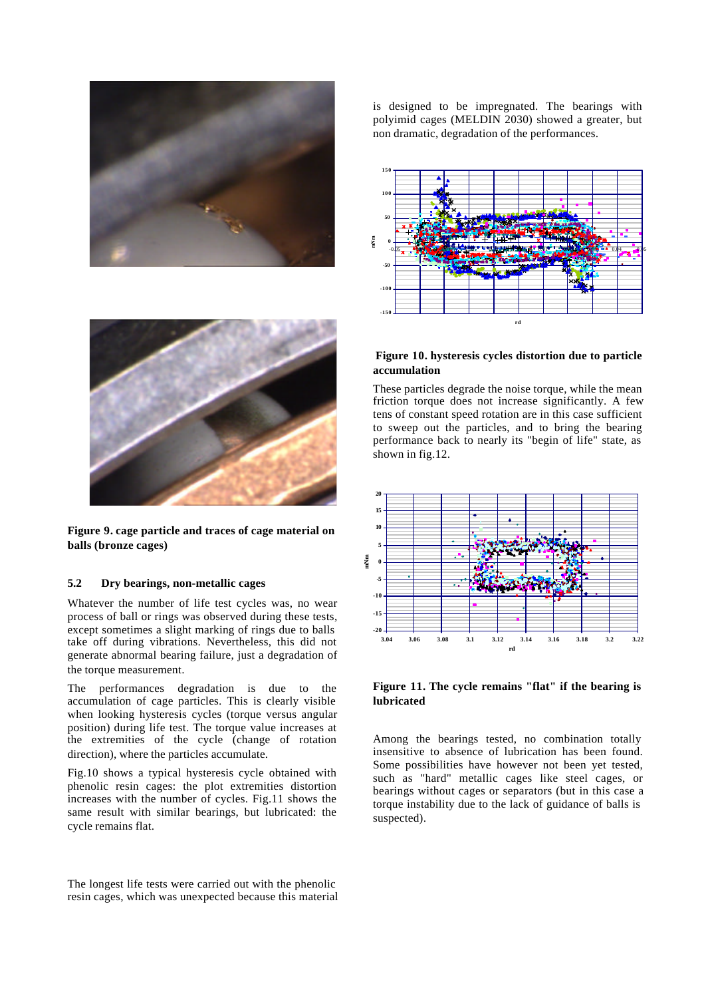



**Figure 9. cage particle and traces of cage material on balls (bronze cages)**

#### **5.2 Dry bearings, non-metallic cages**

Whatever the number of life test cycles was, no wear process of ball or rings was observed during these tests, except sometimes a slight marking of rings due to balls take off during vibrations. Nevertheless, this did not generate abnormal bearing failure, just a degradation of the torque measurement.

The performances degradation is due to the accumulation of cage particles. This is clearly visible when looking hysteresis cycles (torque versus angular position) during life test. The torque value increases at the extremities of the cycle (change of rotation direction), where the particles accumulate.

Fig.10 shows a typical hysteresis cycle obtained with phenolic resin cages: the plot extremities distortion increases with the number of cycles. Fig.11 shows the same result with similar bearings, but lubricated: the cycle remains flat.

The longest life tests were carried out with the phenolic resin cages, which was unexpected because this material is designed to be impregnated. The bearings with polyimid cages (MELDIN 2030) showed a greater, but non dramatic, degradation of the performances.



### **Figure 10. hysteresis cycles distortion due to particle accumulation**

These particles degrade the noise torque, while the mean friction torque does not increase significantly. A few tens of constant speed rotation are in this case sufficient to sweep out the particles, and to bring the bearing performance back to nearly its "begin of life" state, as shown in fig.12.



**Figure 11. The cycle remains "flat" if the bearing is lubricated**

Among the bearings tested, no combination totally insensitive to absence of lubrication has been found. Some possibilities have however not been yet tested, such as "hard" metallic cages like steel cages, or bearings without cages or separators (but in this case a torque instability due to the lack of guidance of balls is suspected).